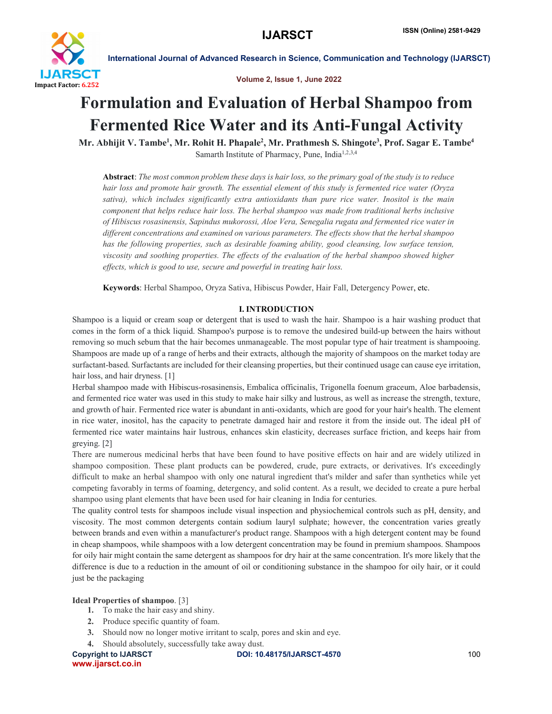

Volume 2, Issue 1, June 2022

# Formulation and Evaluation of Herbal Shampoo from Fermented Rice Water and its Anti-Fungal Activity

Mr. Abhijit V. Tambe<sup>1</sup>, Mr. Rohit H. Phapale<sup>2</sup>, Mr. Prathmesh S. Shingote<sup>3</sup>, Prof. Sagar E. Tambe<sup>4</sup> Samarth Institute of Pharmacy, Pune, India1,2,3,4

Abstract: The most common problem these days is hair loss, so the primary goal of the study is to reduce *hair loss and promote hair growth. The essential element of this study is fermented rice water (Oryza sativa), which includes significantly extra antioxidants than pure rice water. Inositol is the main component that helps reduce hair loss. The herbal shampoo was made from traditional herbs inclusive of Hibiscus rosasinensis, Sapindus mukorossi, Aloe Vera, Senegalia rugata and fermented rice water in different concentrations and examined on various parameters. The effects show that the herbal shampoo has the following properties, such as desirable foaming ability, good cleansing, low surface tension, viscosity and soothing properties. The effects of the evaluation of the herbal shampoo showed higher effects, which is good to use, secure and powerful in treating hair loss.*

Keywords: Herbal Shampoo, Oryza Sativa, Hibiscus Powder, Hair Fall, Detergency Power, etc.

#### I. INTRODUCTION

Shampoo is a liquid or cream soap or detergent that is used to wash the hair. Shampoo is a hair washing product that comes in the form of a thick liquid. Shampoo's purpose is to remove the undesired build-up between the hairs without removing so much sebum that the hair becomes unmanageable. The most popular type of hair treatment is shampooing. Shampoos are made up of a range of herbs and their extracts, although the majority of shampoos on the market today are surfactant-based. Surfactants are included for their cleansing properties, but their continued usage can cause eye irritation, hair loss, and hair dryness. [1]

Herbal shampoo made with Hibiscus-rosasinensis, Embalica officinalis, Trigonella foenum graceum, Aloe barbadensis, and fermented rice water was used in this study to make hair silky and lustrous, as well as increase the strength, texture, and growth of hair. Fermented rice water is abundant in anti-oxidants, which are good for your hair's health. The element in rice water, inositol, has the capacity to penetrate damaged hair and restore it from the inside out. The ideal pH of fermented rice water maintains hair lustrous, enhances skin elasticity, decreases surface friction, and keeps hair from greying. [2]

There are numerous medicinal herbs that have been found to have positive effects on hair and are widely utilized in shampoo composition. These plant products can be powdered, crude, pure extracts, or derivatives. It's exceedingly difficult to make an herbal shampoo with only one natural ingredient that's milder and safer than synthetics while yet competing favorably in terms of foaming, detergency, and solid content. As a result, we decided to create a pure herbal shampoo using plant elements that have been used for hair cleaning in India for centuries.

The quality control tests for shampoos include visual inspection and physiochemical controls such as pH, density, and viscosity. The most common detergents contain sodium lauryl sulphate; however, the concentration varies greatly between brands and even within a manufacturer's product range. Shampoos with a high detergent content may be found in cheap shampoos, while shampoos with a low detergent concentration may be found in premium shampoos. Shampoos for oily hair might contain the same detergent as shampoos for dry hair at the same concentration. It's more likely that the difference is due to a reduction in the amount of oil or conditioning substance in the shampoo for oily hair, or it could just be the packaging

#### Ideal Properties of shampoo. [3]

- 1. To make the hair easy and shiny.
- 2. Produce specific quantity of foam.
- 3. Should now no longer motive irritant to scalp, pores and skin and eye.
- 4. Should absolutely, successfully take away dust.

www.ijarsct.co.in

Copyright to IJARSCT **DOI: 10.48175/IJARSCT-4570** 100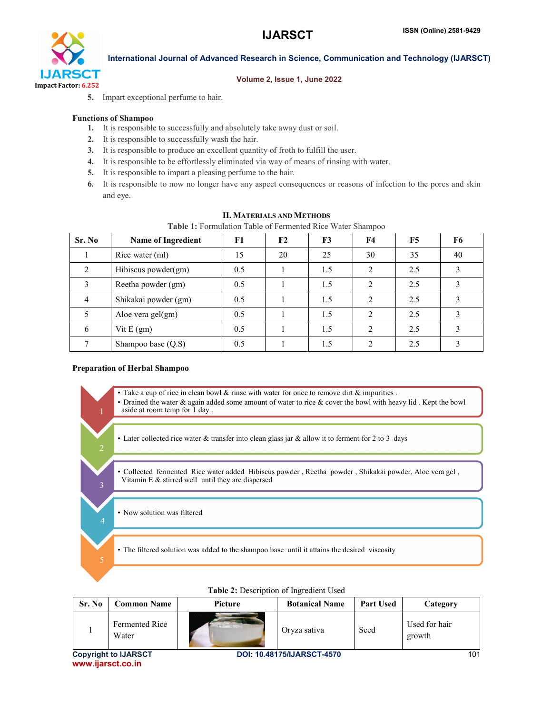

#### Volume 2, Issue 1, June 2022

5. Impart exceptional perfume to hair.

#### Functions of Shampoo

- 1. It is responsible to successfully and absolutely take away dust or soil.
- 2. It is responsible to successfully wash the hair.
- 3. It is responsible to produce an excellent quantity of froth to fulfill the user.
- 4. It is responsible to be effortlessly eliminated via way of means of rinsing with water.
- 5. It is responsible to impart a pleasing perfume to the hair.
- 6. It is responsible to now no longer have any aspect consequences or reasons of infection to the pores and skin and eye.

| Table 1: Formulation Table of Fermented Rice Water Shampoo |                           |     |    |     |                |     |    |
|------------------------------------------------------------|---------------------------|-----|----|-----|----------------|-----|----|
| Sr. No                                                     | <b>Name of Ingredient</b> | F1  | F2 | F3  | F4             | F5  | F6 |
|                                                            | Rice water (ml)           | 15  | 20 | 25  | 30             | 35  | 40 |
| $\mathfrak{D}$                                             | Hibiscus powder(gm)       | 0.5 |    | 1.5 | $\overline{2}$ | 2.5 |    |
| 3                                                          | Reetha powder (gm)        | 0.5 |    | 1.5 | 2              | 2.5 |    |
| $\overline{4}$                                             | Shikakai powder (gm)      | 0.5 |    | 1.5 | $\overline{2}$ | 2.5 |    |
| 5                                                          | Aloe vera gel(gm)         | 0.5 |    | 1.5 | $\mathfrak{D}$ | 2.5 | 3  |
| 6                                                          | Vit $E(gm)$               | 0.5 |    | 1.5 | $\mathfrak{D}$ | 2.5 |    |
|                                                            | Shampoo base $(Q.S)$      | 0.5 |    | 1.5 | າ              | 2.5 |    |

#### II. MATERIALS AND METHODS

#### Preparation of Herbal Shampoo

• Take a cup of rice in clean bowl  $\&$  rinse with water for once to remove dirt  $\&$  impurities .

• Drained the water & again added some amount of water to rice & cover the bowl with heavy lid . Kept the bowl aside at room temp for 1 day .

• Later collected rice water  $&$  transfer into clean glass jar  $&$  allow it to ferment for 2 to 3 days

• Collected fermented Rice water added Hibiscus powder , Reetha powder , Shikakai powder, Aloe vera gel , Vitamin E & stirred well until they are dispersed

• Now solution was filtered

• The filtered solution was added to the shampoo base until it attains the desired viscosity

| Sr. No                      | <b>Common Name</b>      | <b>Picture</b>                    | <b>Botanical Name</b> | <b>Part Used</b> | Category                |
|-----------------------------|-------------------------|-----------------------------------|-----------------------|------------------|-------------------------|
|                             | Fermented Rice<br>Water | <b>Contract Contract Contract</b> | Oryza sativa          | Seed             | Used for hair<br>growth |
| <b>Copyright to IJARSCT</b> |                         | <b>DOI: 10.48175/IJARSCT-4570</b> |                       |                  | 101                     |

### Table 2: Description of Ingredient Used

www.ijarsct.co.in

3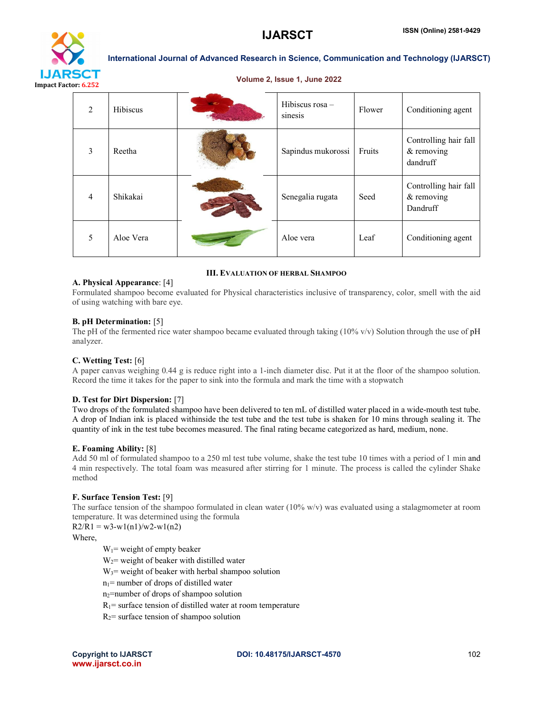

#### Volume 2, Issue 1, June 2022

| 2              | <b>Hibiscus</b> | Hibiscus rosa -<br>sinesis | Flower | Conditioning agent                              |
|----------------|-----------------|----------------------------|--------|-------------------------------------------------|
| 3              | Reetha          | Sapindus mukorossi         | Fruits | Controlling hair fall<br>& removing<br>dandruff |
| $\overline{4}$ | Shikakai        | Senegalia rugata           | Seed   | Controlling hair fall<br>& removing<br>Dandruff |
| 5              | Aloe Vera       | Aloe vera                  | Leaf   | Conditioning agent                              |

#### III. EVALUATION OF HERBAL SHAMPOO

#### A. Physical Appearance: [4]

Formulated shampoo become evaluated for Physical characteristics inclusive of transparency, color, smell with the aid of using watching with bare eye.

#### B. pH Determination: [5]

The pH of the fermented rice water shampoo became evaluated through taking  $(10\% \text{ v/v})$  Solution through the use of pH analyzer.

#### C. Wetting Test: [6]

A paper canvas weighing 0.44 g is reduce right into a 1-inch diameter disc. Put it at the floor of the shampoo solution. Record the time it takes for the paper to sink into the formula and mark the time with a stopwatch

#### D. Test for Dirt Dispersion: [7]

Two drops of the formulated shampoo have been delivered to ten mL of distilled water placed in a wide-mouth test tube. A drop of Indian ink is placed withinside the test tube and the test tube is shaken for 10 mins through sealing it. The quantity of ink in the test tube becomes measured. The final rating became categorized as hard, medium, none.

#### E. Foaming Ability: [8]

Add 50 ml of formulated shampoo to a 250 ml test tube volume, shake the test tube 10 times with a period of 1 min and 4 min respectively. The total foam was measured after stirring for 1 minute. The process is called the cylinder Shake method

#### F. Surface Tension Test: [9]

The surface tension of the shampoo formulated in clean water (10% w/v) was evaluated using a stalagmometer at room temperature. It was determined using the formula

 $R2/R1 = w3-w1(n1)/w2-w1(n2)$ 

### Where,

 $W_1$ = weight of empty beaker

 $W_2$  weight of beaker with distilled water

 $W_3$ = weight of beaker with herbal shampoo solution

 $n_1$ = number of drops of distilled water

n2=number of drops of shampoo solution

 $R_1$ = surface tension of distilled water at room temperature

 $R_2$ = surface tension of shampoo solution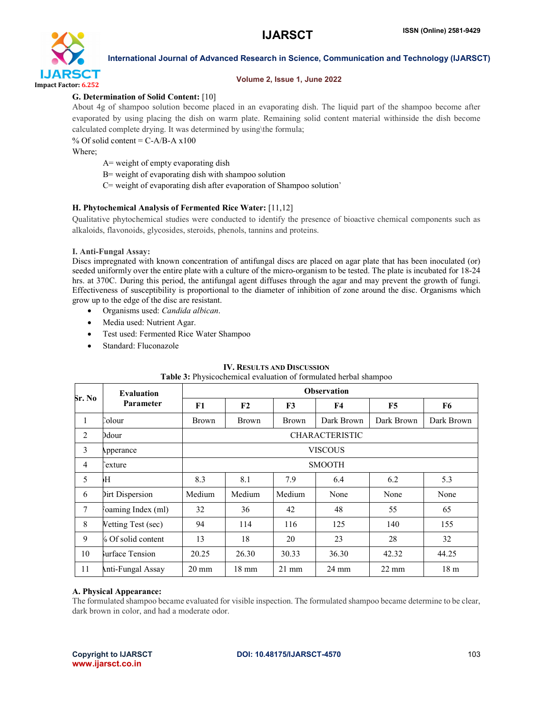

#### Volume 2, Issue 1, June 2022

#### G. Determination of Solid Content: [10]

About 4g of shampoo solution become placed in an evaporating dish. The liquid part of the shampoo become after evaporated by using placing the dish on warm plate. Remaining solid content material withinside the dish become calculated complete drying. It was determined by using\the formula;

% Of solid content =  $C-A/B-A \times 100$ 

Where;

A= weight of empty evaporating dish

B= weight of evaporating dish with shampoo solution

C= weight of evaporating dish after evaporation of Shampoo solution'

#### H. Phytochemical Analysis of Fermented Rice Water: [11,12]

Qualitative phytochemical studies were conducted to identify the presence of bioactive chemical components such as alkaloids, flavonoids, glycosides, steroids, phenols, tannins and proteins.

#### I. Anti-Fungal Assay:

Discs impregnated with known concentration of antifungal discs are placed on agar plate that has been inoculated (or) seeded uniformly over the entire plate with a culture of the micro-organism to be tested. The plate is incubated for 18-24 hrs. at 370C. During this period, the antifungal agent diffuses through the agar and may prevent the growth of fungi. Effectiveness of susceptibility is proportional to the diameter of inhibition of zone around the disc. Organisms which grow up to the edge of the disc are resistant.

- Organisms used: *Candida albican*.
- Media used: Nutrient Agar.
- Test used: Fermented Rice Water Shampoo
- Standard: Fluconazole

#### IV. RESULTS AND DISCUSSION

| Sr. No         | <b>Evaluation</b><br><b>Parameter</b> | <b>Observation</b>    |                 |                 |                 |                 |                 |  |
|----------------|---------------------------------------|-----------------------|-----------------|-----------------|-----------------|-----------------|-----------------|--|
|                |                                       | F1                    | F2              | F <sub>3</sub>  | <b>F4</b>       | F5              | F6              |  |
| 1              | `olour                                | <b>Brown</b>          | <b>Brown</b>    | <b>Brown</b>    | Dark Brown      | Dark Brown      | Dark Brown      |  |
| 2              | Ddour                                 | <b>CHARACTERISTIC</b> |                 |                 |                 |                 |                 |  |
| 3              | Apperance                             | <b>VISCOUS</b>        |                 |                 |                 |                 |                 |  |
| $\overline{4}$ | exture?                               | <b>SMOOTH</b>         |                 |                 |                 |                 |                 |  |
| 5              | Ή                                     | 8.3                   | 8.1             | 7.9             | 6.4             | 6.2             | 5.3             |  |
| 6              | Dirt Dispersion                       | Medium                | Medium          | Medium          | None            | None            | None            |  |
| 7              | Joaming Index (ml)                    | 32                    | 36              | 42              | 48              | 55              | 65              |  |
| 8              | Vetting Test (sec)                    | 94                    | 114             | 116             | 125             | 140             | 155             |  |
| 9              | 6 Of solid content                    | 13                    | 18              | 20              | 23              | 28              | 32              |  |
| 10             | surface Tension                       | 20.25                 | 26.30           | 30.33           | 36.30           | 42.32           | 44.25           |  |
| 11             | Anti-Fungal Assay                     | $20 \text{ mm}$       | $18 \text{ mm}$ | $21 \text{ mm}$ | $24 \text{ mm}$ | $22 \text{ mm}$ | 18 <sub>m</sub> |  |

## Table 3: Physicochemical evaluation of formulated herbal shampoo

#### A. Physical Appearance:

The formulated shampoo became evaluated for visible inspection. The formulated shampoo became determine to be clear, dark brown in color, and had a moderate odor.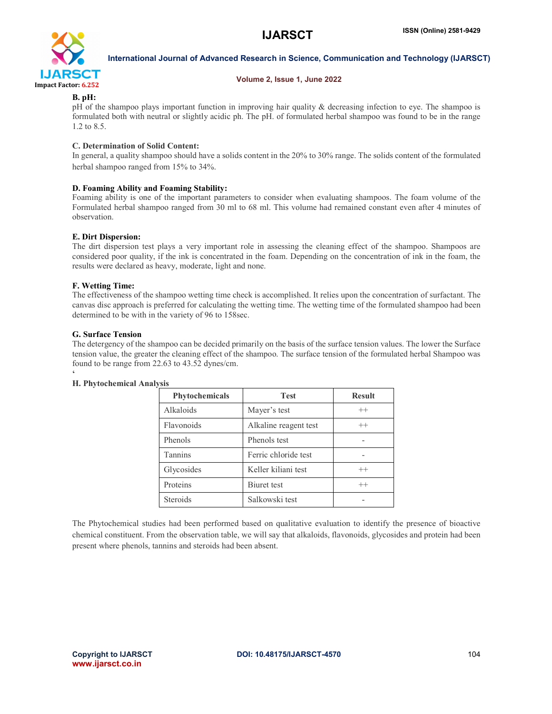

#### Volume 2, Issue 1, June 2022

#### B. pH:

pH of the shampoo plays important function in improving hair quality & decreasing infection to eye. The shampoo is formulated both with neutral or slightly acidic ph. The pH. of formulated herbal shampoo was found to be in the range 1.2 to 8.5.

#### C. Determination of Solid Content:

In general, a quality shampoo should have a solids content in the 20% to 30% range. The solids content of the formulated herbal shampoo ranged from 15% to 34%.

#### D. Foaming Ability and Foaming Stability:

Foaming ability is one of the important parameters to consider when evaluating shampoos. The foam volume of the Formulated herbal shampoo ranged from 30 ml to 68 ml. This volume had remained constant even after 4 minutes of observation.

#### E. Dirt Dispersion:

The dirt dispersion test plays a very important role in assessing the cleaning effect of the shampoo. Shampoos are considered poor quality, if the ink is concentrated in the foam. Depending on the concentration of ink in the foam, the results were declared as heavy, moderate, light and none.

#### F. Wetting Time:

The effectiveness of the shampoo wetting time check is accomplished. It relies upon the concentration of surfactant. The canvas disc approach is preferred for calculating the wetting time. The wetting time of the formulated shampoo had been determined to be with in the variety of 96 to 158sec.

#### G. Surface Tension

The detergency of the shampoo can be decided primarily on the basis of the surface tension values. The lower the Surface tension value, the greater the cleaning effect of the shampoo. The surface tension of the formulated herbal Shampoo was found to be range from 22.63 to 43.52 dynes/cm.

| <b>Phytochemicals</b> | <b>Test</b>           | <b>Result</b> |
|-----------------------|-----------------------|---------------|
| Alkaloids             | Mayer's test          | $++$          |
| Flavonoids            | Alkaline reagent test | $^{++}$       |
| Phenols               | Phenols test          |               |
| Tannins               | Ferric chloride test  |               |
| Glycosides            | Keller kiliani test   | $^{++}$       |
| Proteins              | Biuret test           | $^{++}$       |
| <b>Steroids</b>       | Salkowski test        |               |

#### $\ddot{\bullet}$ H. Phytochemical Analysis

The Phytochemical studies had been performed based on qualitative evaluation to identify the presence of bioactive chemical constituent. From the observation table, we will say that alkaloids, flavonoids, glycosides and protein had been present where phenols, tannins and steroids had been absent.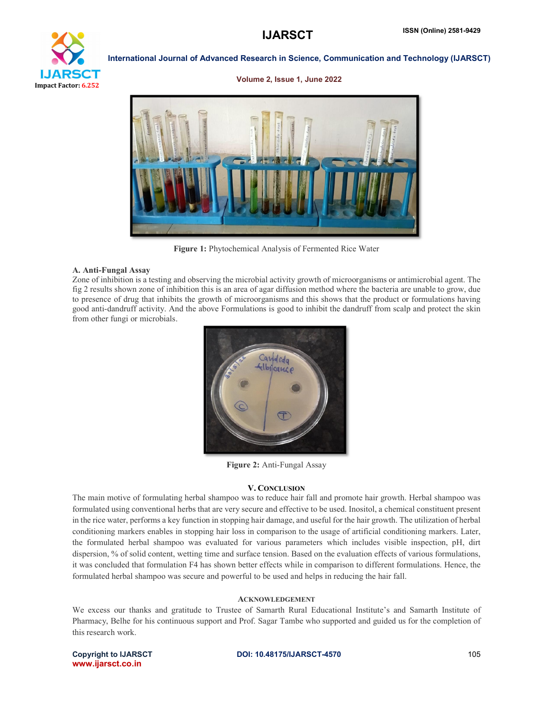

#### Volume 2, Issue 1, June 2022



Figure 1: Phytochemical Analysis of Fermented Rice Water

#### A. Anti-Fungal Assay

Zone of inhibition is a testing and observing the microbial activity growth of microorganisms or antimicrobial agent. The fig 2 results shown zone of inhibition this is an area of agar diffusion method where the bacteria are unable to grow, due to presence of drug that inhibits the growth of microorganisms and this shows that the product or formulations having good anti-dandruff activity. And the above Formulations is good to inhibit the dandruff from scalp and protect the skin from other fungi or microbials.



Figure 2: Anti-Fungal Assay

#### V. CONCLUSION

The main motive of formulating herbal shampoo was to reduce hair fall and promote hair growth. Herbal shampoo was formulated using conventional herbs that are very secure and effective to be used. Inositol, a chemical constituent present in the rice water, performs a key function in stopping hair damage, and useful for the hair growth. The utilization of herbal conditioning markers enables in stopping hair loss in comparison to the usage of artificial conditioning markers. Later, the formulated herbal shampoo was evaluated for various parameters which includes visible inspection, pH, dirt dispersion, % of solid content, wetting time and surface tension. Based on the evaluation effects of various formulations, it was concluded that formulation F4 has shown better effects while in comparison to different formulations. Hence, the formulated herbal shampoo was secure and powerful to be used and helps in reducing the hair fall.

#### ACKNOWLEDGEMENT

We excess our thanks and gratitude to Trustee of Samarth Rural Educational Institute's and Samarth Institute of Pharmacy, Belhe for his continuous support and Prof. Sagar Tambe who supported and guided us for the completion of this research work.

## www.ijarsct.co.in

#### Copyright to IJARSCT **DOI: 10.48175/IJARSCT-4570** 105